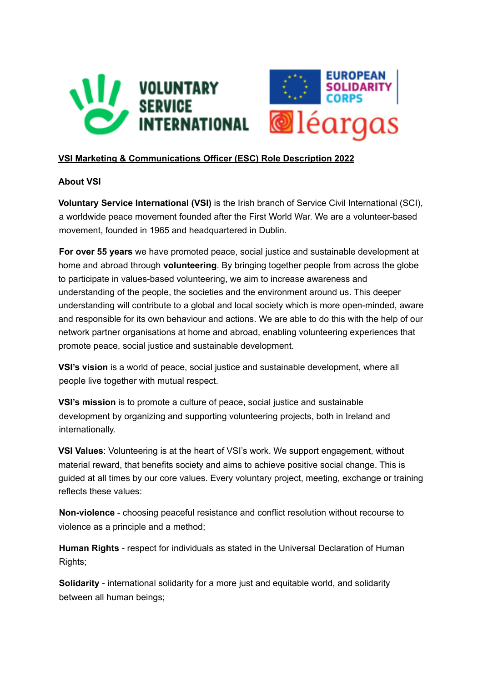

## **VSI Marketing & Communications Officer (ESC) Role Description 2022**

## **About VSI**

**Voluntary Service International (VSI)** is the Irish branch of Service Civil International (SCI), a worldwide peace movement founded after the First World War. We are a volunteer-based movement, founded in 1965 and headquartered in Dublin.

**For over 55 years** we have promoted peace, social justice and sustainable development at home and abroad through **volunteering**. By bringing together people from across the globe to participate in values-based volunteering, we aim to increase awareness and understanding of the people, the societies and the environment around us. This deeper understanding will contribute to a global and local society which is more open-minded, aware and responsible for its own behaviour and actions. We are able to do this with the help of our network partner organisations at home and abroad, enabling volunteering experiences that promote peace, social justice and sustainable development.

**VSI's vision** is a world of peace, social justice and sustainable development, where all people live together with mutual respect.

**VSI's mission** is to promote a culture of peace, social justice and sustainable development by organizing and supporting volunteering projects, both in Ireland and internationally.

**VSI Values**: Volunteering is at the heart of VSI's work. We support engagement, without material reward, that benefits society and aims to achieve positive social change. This is guided at all times by our core values. Every voluntary project, meeting, exchange or training reflects these values:

**Non-violence** - choosing peaceful resistance and conflict resolution without recourse to violence as a principle and a method;

**Human Rights** - respect for individuals as stated in the Universal Declaration of Human Rights;

**Solidarity** - international solidarity for a more just and equitable world, and solidarity between all human beings;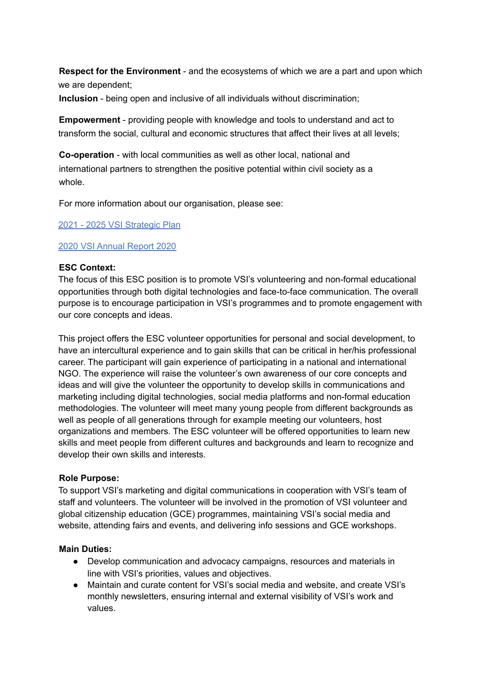**Respect for the Environment** - and the ecosystems of which we are a part and upon which we are dependent;

**Inclusion** - being open and inclusive of all individuals without discrimination;

**Empowerment** - providing people with knowledge and tools to understand and act to transform the social, cultural and economic structures that affect their lives at all levels;

**Co-operation** - with local communities as well as other local, national and international partners to strengthen the positive potential within civil society as a whole.

For more information about our organisation, please see:

2021 - 2025 VSI Strategic Plan

### 2020 VSI Annual Report 2020

### **ESC Context:**

The focus of this ESC position is to promote VSI's volunteering and non-formal educational opportunities through both digital technologies and face-to-face communication. The overall purpose is to encourage participation in VSI's programmes and to promote engagement with our core concepts and ideas.

This project offers the ESC volunteer opportunities for personal and social development, to have an intercultural experience and to gain skills that can be critical in her/his professional career. The participant will gain experience of participating in a national and international NGO. The experience will raise the volunteer's own awareness of our core concepts and ideas and will give the volunteer the opportunity to develop skills in communications and marketing including digital technologies, social media platforms and non-formal education methodologies. The volunteer will meet many young people from different backgrounds as well as people of all generations through for example meeting our volunteers, host organizations and members. The ESC volunteer will be offered opportunities to learn new skills and meet people from different cultures and backgrounds and learn to recognize and develop their own skills and interests.

### **Role Purpose:**

To support VSI's marketing and digital communications in cooperation with VSI's team of staff and volunteers. The volunteer will be involved in the promotion of VSI volunteer and global citizenship education (GCE) programmes, maintaining VSI's social media and website, attending fairs and events, and delivering info sessions and GCE workshops.

### **Main Duties:**

- Develop communication and advocacy campaigns, resources and materials in line with VSI's priorities, values and objectives.
- Maintain and curate content for VSI's social media and website, and create VSI's monthly newsletters, ensuring internal and external visibility of VSI's work and values.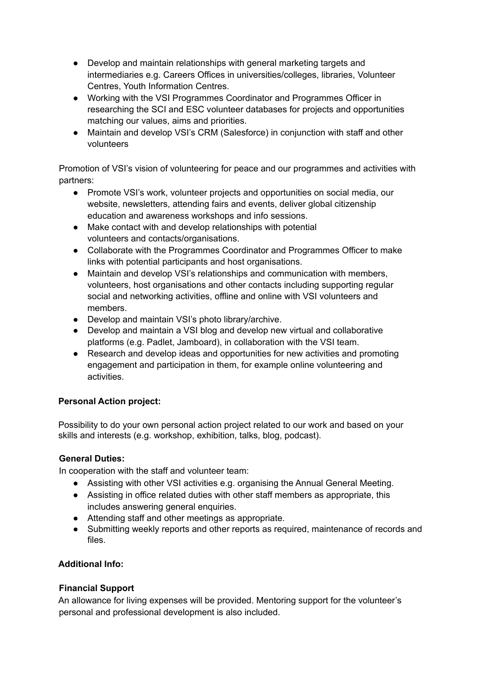- Develop and maintain relationships with general marketing targets and intermediaries e.g. Careers Offices in universities/colleges, libraries, Volunteer Centres, Youth Information Centres.
- Working with the VSI Programmes Coordinator and Programmes Officer in researching the SCI and ESC volunteer databases for projects and opportunities matching our values, aims and priorities.
- Maintain and develop VSI's CRM (Salesforce) in conjunction with staff and other volunteers

Promotion of VSI's vision of volunteering for peace and our programmes and activities with partners:

- Promote VSI's work, volunteer projects and opportunities on social media, our website, newsletters, attending fairs and events, deliver global citizenship education and awareness workshops and info sessions.
- Make contact with and develop relationships with potential volunteers and contacts/organisations.
- Collaborate with the Programmes Coordinator and Programmes Officer to make links with potential participants and host organisations.
- Maintain and develop VSI's relationships and communication with members, volunteers, host organisations and other contacts including supporting regular social and networking activities, offline and online with VSI volunteers and members.
- Develop and maintain VSI's photo library/archive.
- Develop and maintain a VSI blog and develop new virtual and collaborative platforms (e.g. Padlet, Jamboard), in collaboration with the VSI team.
- Research and develop ideas and opportunities for new activities and promoting engagement and participation in them, for example online volunteering and activities.

## **Personal Action project:**

Possibility to do your own personal action project related to our work and based on your skills and interests (e.g. workshop, exhibition, talks, blog, podcast).

## **General Duties:**

In cooperation with the staff and volunteer team:

- Assisting with other VSI activities e.g. organising the Annual General Meeting.
- Assisting in office related duties with other staff members as appropriate, this includes answering general enquiries.
- Attending staff and other meetings as appropriate.
- Submitting weekly reports and other reports as required, maintenance of records and files.

# **Additional Info:**

## **Financial Support**

An allowance for living expenses will be provided. Mentoring support for the volunteer's personal and professional development is also included.